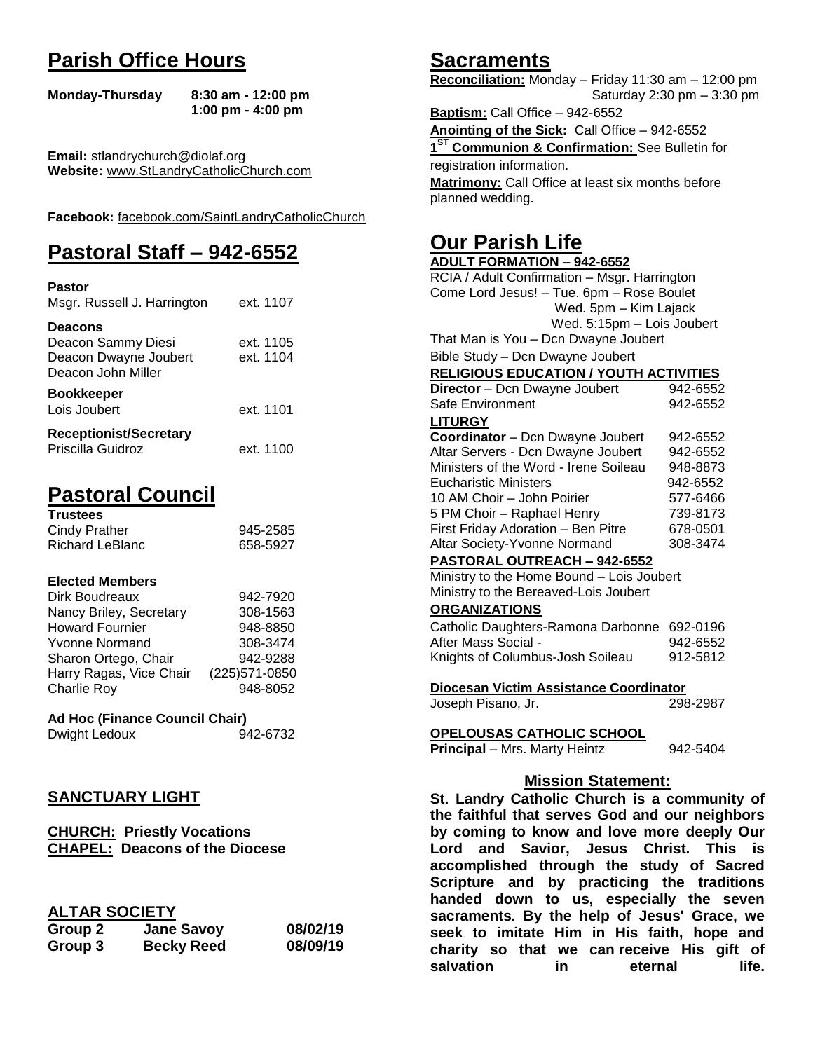# **Parish Office Hours**

```
Monday-Thursday 8:30 am - 12:00 pm
       1:00 pm - 4:00 pm
```
**Email:** stlandrychurch@diolaf.org **Website:** [www.StLandryCatholicChurch.com](http://www.stlandrycatholicchurch.com/)

**Facebook:** [facebook.com/SaintLandryCatholicChurch](http://facebook.com/SaintLandryCatholicChurch)

# **Pastoral Staff – 942-6552**

| <b>Pastor</b><br>Msgr. Russell J. Harrington                                        | ext. 1107              |
|-------------------------------------------------------------------------------------|------------------------|
| <b>Deacons</b><br>Deacon Sammy Diesi<br>Deacon Dwayne Joubert<br>Deacon John Miller | ext. 1105<br>ext. 1104 |
| <b>Bookkeeper</b><br>Lois Joubert                                                   | ext. 1101              |
| <b>Receptionist/Secretary</b><br>Priscilla Guidroz                                  | ext. 1100              |

# **Pastoral Council**

| <b>Trustees</b> |          |
|-----------------|----------|
| Cindy Prather   | 945-2585 |
| Richard LeBlanc | 658-5927 |

#### **Elected Members**

| Dirk Boudreaux          | 942-7920       |
|-------------------------|----------------|
| Nancy Briley, Secretary | 308-1563       |
| <b>Howard Fournier</b>  | 948-8850       |
| <b>Yvonne Normand</b>   | 308-3474       |
| Sharon Ortego, Chair    | 942-9288       |
| Harry Ragas, Vice Chair | (225) 571-0850 |
| <b>Charlie Roy</b>      | 948-8052       |

## **Ad Hoc (Finance Council Chair)**

| Dwight Ledoux | 942-6732 |
|---------------|----------|
|               |          |

## **SANCTUARY LIGHT**

**CHURCH: Priestly Vocations CHAPEL: Deacons of the Diocese**

## **ALTAR SOCIETY**

| Group 2 | <b>Jane Savoy</b> | 08/02/19 |
|---------|-------------------|----------|
| Group 3 | <b>Becky Reed</b> | 08/09/19 |

## **Sacraments**

**Reconciliation:** Monday – Friday 11:30 am – 12:00 pm Saturday 2:30 pm – 3:30 pm

**Baptism:** Call Office – 942-6552 **Anointing of the Sick:** Call Office – 942-6552 **1 ST Communion & Confirmation:** See Bulletin for registration information. **Matrimony:** Call Office at least six months before planned wedding.

## **Our Parish Life**

| <b>ADULT FORMATION - 942-6552</b>              |          |
|------------------------------------------------|----------|
| RCIA / Adult Confirmation - Msgr. Harrington   |          |
| Come Lord Jesus! - Tue. 6pm - Rose Boulet      |          |
| Wed. 5pm - Kim Lajack                          |          |
| Wed. 5:15pm - Lois Joubert                     |          |
| That Man is You - Dcn Dwayne Joubert           |          |
| Bible Study - Dcn Dwayne Joubert               |          |
| <b>RELIGIOUS EDUCATION / YOUTH ACTIVITIES</b>  |          |
| Director - Dcn Dwayne Joubert                  | 942-6552 |
| Safe Environment                               | 942-6552 |
| <b>LITURGY</b>                                 |          |
| Coordinator - Dcn Dwayne Joubert               | 942-6552 |
| Altar Servers - Dcn Dwayne Joubert             | 942-6552 |
| Ministers of the Word - Irene Soileau          | 948-8873 |
| <b>Eucharistic Ministers</b>                   | 942-6552 |
| 10 AM Choir - John Poirier                     | 577-6466 |
| 5 PM Choir - Raphael Henry                     | 739-8173 |
| First Friday Adoration - Ben Pitre             | 678-0501 |
| Altar Society-Yvonne Normand                   | 308-3474 |
| <b>PASTORAL OUTREACH - 942-6552</b>            |          |
| Ministry to the Home Bound - Lois Joubert      |          |
| Ministry to the Bereaved-Lois Joubert          |          |
| <b>ORGANIZATIONS</b>                           |          |
| Catholic Daughters-Ramona Darbonne 692-0196    |          |
| After Mass Social -                            | 942-6552 |
| Knights of Columbus-Josh Soileau               | 912-5812 |
|                                                |          |
| Diocesan Victim Assistance Coordinator         |          |
| Joseph Pisano, Jr.                             | 298-2987 |
|                                                |          |
| <u>OPELOUSAS CATHOLIC SCHOOL</u>               |          |
| Principal - Mrs. Marty Heintz                  | 942-5404 |
|                                                |          |
| <b>Mission Statement:</b>                      |          |
| St. Landry Catholic Church is a community of   |          |
| the faithful that serves God and our neighbors |          |
| by coming to know and love more deeply Our     |          |
|                                                |          |

**the faithful that serves God and our neighbors by coming to know and love more deeply Our Lord and Savior, Jesus Christ. This is accomplished through the study of Sacred Scripture and by practicing the traditions handed down to us, especially the seven sacraments. By the help of Jesus' Grace, we seek to imitate Him in His faith, hope and charity so that we can receive His gift of salvation in** eternal life.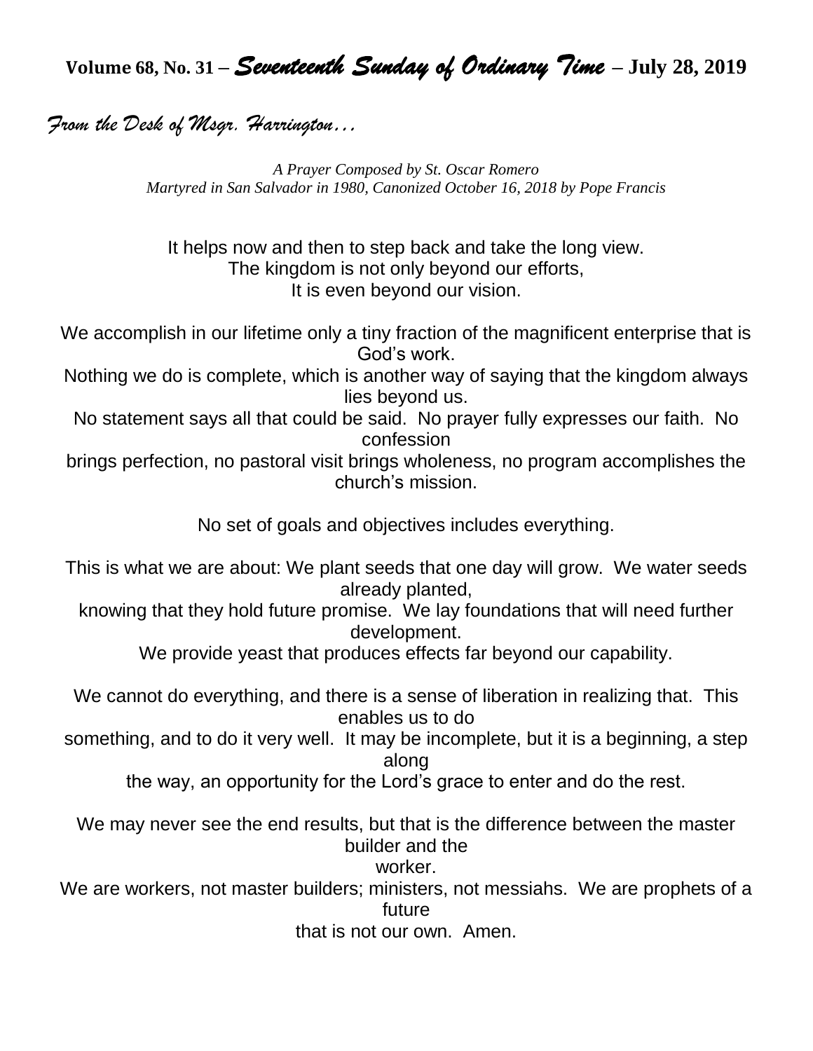**Volume 68, No. 31 –** *Seventeenth Sunday of Ordinary Time* **– July 28, 2019**

*From the Desk of Msgr. Harrington…*

*A Prayer Composed by St. Oscar Romero Martyred in San Salvador in 1980, Canonized October 16, 2018 by Pope Francis*

It helps now and then to step back and take the long view. The kingdom is not only beyond our efforts, It is even beyond our vision.

We accomplish in our lifetime only a tiny fraction of the magnificent enterprise that is God's work.

Nothing we do is complete, which is another way of saying that the kingdom always lies beyond us.

No statement says all that could be said. No prayer fully expresses our faith. No confession

brings perfection, no pastoral visit brings wholeness, no program accomplishes the church's mission.

No set of goals and objectives includes everything.

This is what we are about: We plant seeds that one day will grow. We water seeds already planted,

knowing that they hold future promise. We lay foundations that will need further development.

We provide yeast that produces effects far beyond our capability.

We cannot do everything, and there is a sense of liberation in realizing that. This enables us to do

something, and to do it very well. It may be incomplete, but it is a beginning, a step along

the way, an opportunity for the Lord's grace to enter and do the rest.

We may never see the end results, but that is the difference between the master builder and the

worker.

We are workers, not master builders; ministers, not messiahs. We are prophets of a future

that is not our own. Amen.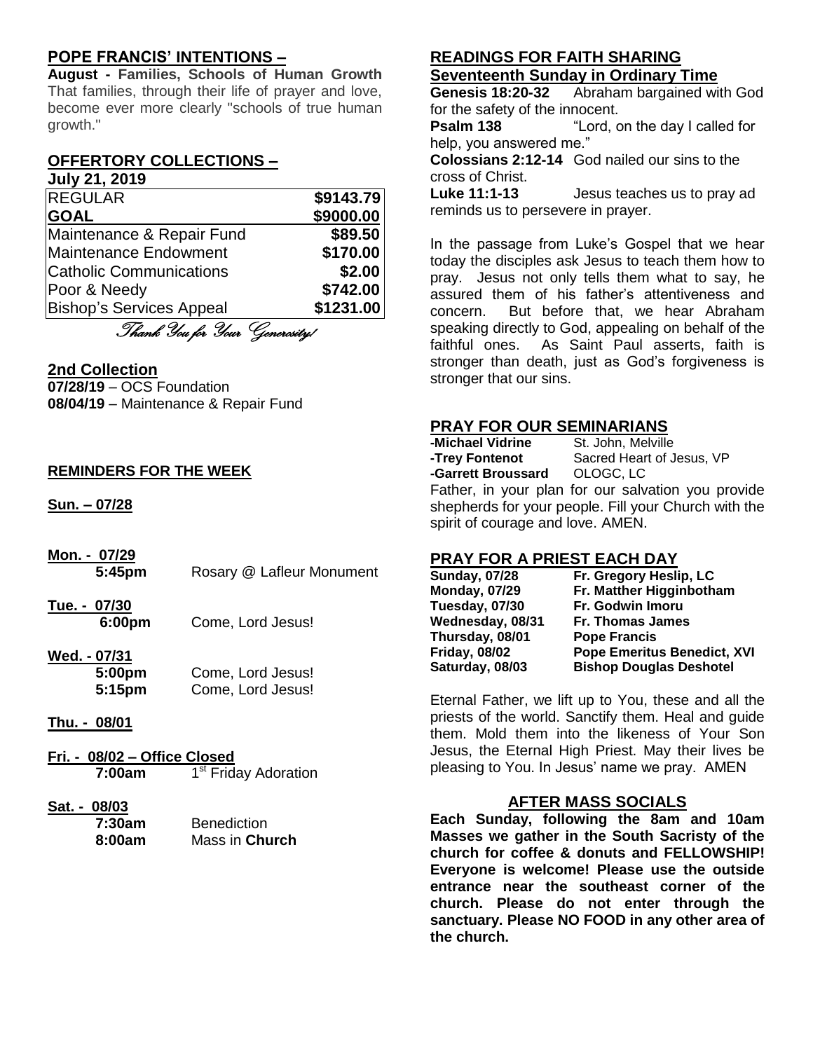## **POPE FRANCIS' INTENTIONS –**

**August - Families, Schools of Human Growth** That families, through their life of prayer and love, become ever more clearly "schools of true human growth."

## **OFFERTORY COLLECTIONS –**

#### **July 21, 2019** REGULAR **\$9143.79**

| "'''''''''''                    | 99179. <i>i</i> 9 |
|---------------------------------|-------------------|
| <b>GOAL</b>                     | \$9000.00         |
| Maintenance & Repair Fund       | \$89.50           |
| Maintenance Endowment           | \$170.00          |
| <b>Catholic Communications</b>  | \$2.00            |
| Poor & Needy                    | \$742.00          |
| <b>Bishop's Services Appeal</b> | \$1231.00         |
|                                 |                   |

Thank You for Your Generosity!

## **2nd Collection**

**07/28/19** – OCS Foundation **08/04/19** – Maintenance & Repair Fund

## **REMINDERS FOR THE WEEK**

**Sun. – 07/28**

**Mon. - 07/29 5:45pm** Rosary @ Lafleur Monument

**Tue. - 07/30 6:00pm** Come, Lord Jesus!

# **Wed. - 07/31**

**5:00pm** Come, Lord Jesus! **5:15pm** Come, Lord Jesus!

## **Thu. - 08/01**

**Fri. - 08/02 – Office Closed 7:00am** 1 1<sup>st</sup> Friday Adoration

#### **Sat. - 08/03**

| 7:30am | <b>Benediction</b> |
|--------|--------------------|
| 8:00am | Mass in Church     |

### **READINGS FOR FAITH SHARING Seventeenth Sunday in Ordinary Time**

**Genesis 18:20-32** Abraham bargained with God for the safety of the innocent.

**Psalm 138** "Lord, on the day I called for help, you answered me."

**Colossians 2:12-14** God nailed our sins to the cross of Christ.

**Luke 11:1-13** Jesus teaches us to pray ad reminds us to persevere in prayer.

In the passage from Luke's Gospel that we hear today the disciples ask Jesus to teach them how to pray. Jesus not only tells them what to say, he assured them of his father's attentiveness and concern. But before that, we hear Abraham speaking directly to God, appealing on behalf of the faithful ones. As Saint Paul asserts, faith is stronger than death, just as God's forgiveness is stronger that our sins.

## **PRAY FOR OUR SEMINARIANS**

**-Michael Vidrine** St. John, Melville **-Garrett Broussard** OLOGC, LC

**-Trey Fontenot** Sacred Heart of Jesus, VP

Father, in your plan for our salvation you provide shepherds for your people. Fill your Church with the spirit of courage and love. AMEN.

## **PRAY FOR A PRIEST EACH DAY**

| <b>Sunday, 07/28</b> | Fr. Gregory Heslip, LC             |
|----------------------|------------------------------------|
| <b>Monday, 07/29</b> | Fr. Matther Higginbotham           |
| Tuesday, 07/30       | Fr. Godwin Imoru                   |
| Wednesday, 08/31     | Fr. Thomas James                   |
| Thursday, 08/01      | <b>Pope Francis</b>                |
| <b>Friday, 08/02</b> | <b>Pope Emeritus Benedict, XVI</b> |
| Saturday, 08/03      | <b>Bishop Douglas Deshotel</b>     |
|                      |                                    |

Eternal Father, we lift up to You, these and all the priests of the world. Sanctify them. Heal and guide them. Mold them into the likeness of Your Son Jesus, the Eternal High Priest. May their lives be pleasing to You. In Jesus' name we pray. AMEN

## **AFTER MASS SOCIALS**

**Each Sunday, following the 8am and 10am Masses we gather in the South Sacristy of the church for coffee & donuts and FELLOWSHIP! Everyone is welcome! Please use the outside entrance near the southeast corner of the church. Please do not enter through the sanctuary. Please NO FOOD in any other area of the church.**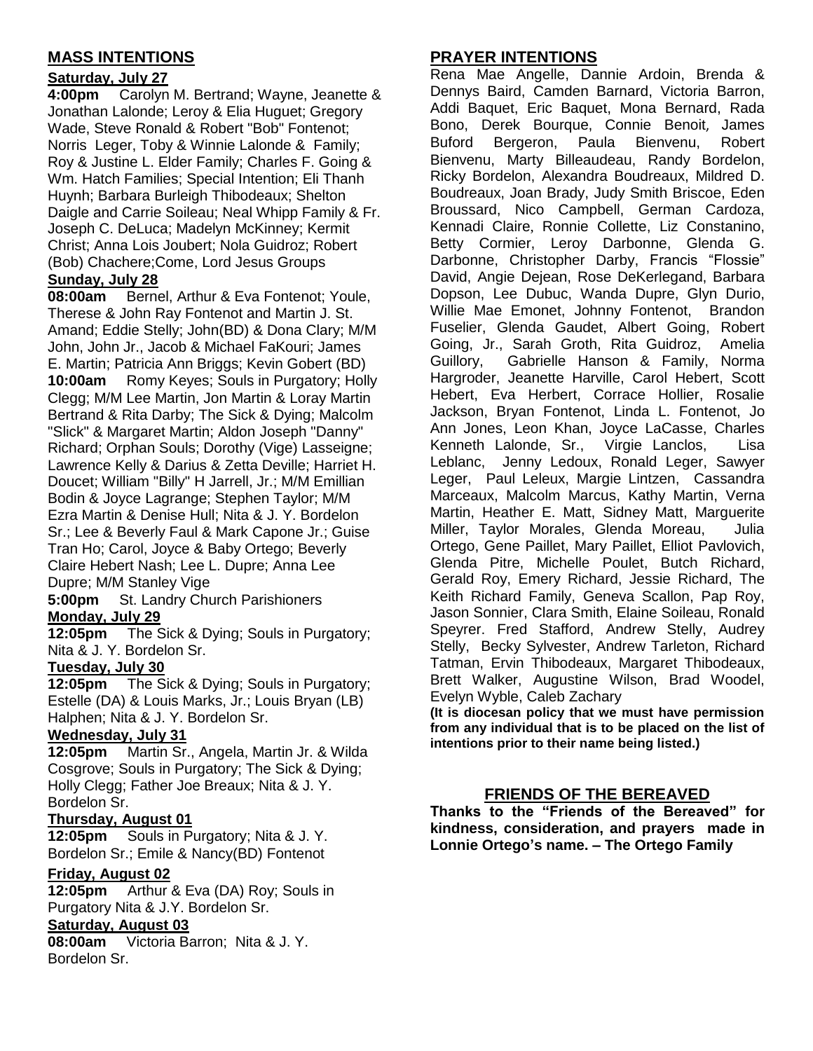## **MASS INTENTIONS**

## **Saturday, July 27**

**4:00pm** Carolyn M. Bertrand; Wayne, Jeanette & Jonathan Lalonde; Leroy & Elia Huguet; Gregory Wade, Steve Ronald & Robert "Bob" Fontenot; Norris Leger, Toby & Winnie Lalonde & Family; Roy & Justine L. Elder Family; Charles F. Going & Wm. Hatch Families; Special Intention; Eli Thanh Huynh; Barbara Burleigh Thibodeaux; Shelton Daigle and Carrie Soileau; Neal Whipp Family & Fr. Joseph C. DeLuca; Madelyn McKinney; Kermit Christ; Anna Lois Joubert; Nola Guidroz; Robert (Bob) Chachere;Come, Lord Jesus Groups

## **Sunday, July 28**

**08:00am** Bernel, Arthur & Eva Fontenot; Youle, Therese & John Ray Fontenot and Martin J. St. Amand; Eddie Stelly; John(BD) & Dona Clary; M/M John, John Jr., Jacob & Michael FaKouri; James E. Martin; Patricia Ann Briggs; Kevin Gobert (BD) **10:00am** Romy Keyes; Souls in Purgatory; Holly Clegg; M/M Lee Martin, Jon Martin & Loray Martin Bertrand & Rita Darby; The Sick & Dying; Malcolm "Slick" & Margaret Martin; Aldon Joseph "Danny" Richard; Orphan Souls; Dorothy (Vige) Lasseigne; Lawrence Kelly & Darius & Zetta Deville; Harriet H. Doucet; William "Billy" H Jarrell, Jr.; M/M Emillian Bodin & Joyce Lagrange; Stephen Taylor; M/M Ezra Martin & Denise Hull; Nita & J. Y. Bordelon Sr.; Lee & Beverly Faul & Mark Capone Jr.; Guise Tran Ho; Carol, Joyce & Baby Ortego; Beverly Claire Hebert Nash; Lee L. Dupre; Anna Lee Dupre; M/M Stanley Vige

**5:00pm** St. Landry Church Parishioners **Monday, July 29**

**12:05pm** The Sick & Dying; Souls in Purgatory; Nita & J. Y. Bordelon Sr.

## **Tuesday, July 30**

**12:05pm** The Sick & Dying; Souls in Purgatory; Estelle (DA) & Louis Marks, Jr.; Louis Bryan (LB) Halphen; Nita & J. Y. Bordelon Sr.

#### **Wednesday, July 31**

**12:05pm** Martin Sr., Angela, Martin Jr. & Wilda Cosgrove; Souls in Purgatory; The Sick & Dying; Holly Clegg; Father Joe Breaux; Nita & J. Y. Bordelon Sr.

## **Thursday, August 01**

**12:05pm** Souls in Purgatory; Nita & J. Y. Bordelon Sr.; Emile & Nancy(BD) Fontenot

## **Friday, August 02**

**12:05pm** Arthur & Eva (DA) Roy; Souls in Purgatory Nita & J.Y. Bordelon Sr.

#### **Saturday, August 03**

**08:00am** Victoria Barron; Nita & J. Y. Bordelon Sr.

## **PRAYER INTENTIONS**

Rena Mae Angelle, Dannie Ardoin, Brenda & Dennys Baird, Camden Barnard, Victoria Barron, Addi Baquet, Eric Baquet, Mona Bernard, Rada Bono, Derek Bourque, Connie Benoit, James Buford Bergeron, Paula Bienvenu, Robert Bienvenu, Marty Billeaudeau, Randy Bordelon, Ricky Bordelon, Alexandra Boudreaux, Mildred D. Boudreaux, Joan Brady, Judy Smith Briscoe, Eden Broussard, Nico Campbell, German Cardoza, Kennadi Claire, Ronnie Collette, Liz Constanino, Betty Cormier, Leroy Darbonne, Glenda G. Darbonne, Christopher Darby, Francis "Flossie" David, Angie Dejean, Rose DeKerlegand, Barbara Dopson, Lee Dubuc, Wanda Dupre, Glyn Durio, Willie Mae Emonet, Johnny Fontenot, Brandon Fuselier, Glenda Gaudet, Albert Going, Robert Going, Jr., Sarah Groth, Rita Guidroz, Amelia Guillory, Gabrielle Hanson & Family, Norma Hargroder, Jeanette Harville, Carol Hebert, Scott Hebert, Eva Herbert, Corrace Hollier, Rosalie Jackson, Bryan Fontenot, Linda L. Fontenot, Jo Ann Jones, Leon Khan, Joyce LaCasse, Charles Kenneth Lalonde, Sr., Virgie Lanclos, Lisa Leblanc, Jenny Ledoux, Ronald Leger, Sawyer Leger, Paul Leleux, Margie Lintzen, Cassandra Marceaux, Malcolm Marcus, Kathy Martin, Verna Martin, Heather E. Matt, Sidney Matt, Marguerite Miller, Taylor Morales, Glenda Moreau, Julia Ortego, Gene Paillet, Mary Paillet, Elliot Pavlovich, Glenda Pitre, Michelle Poulet, Butch Richard, Gerald Roy, Emery Richard, Jessie Richard, The Keith Richard Family, Geneva Scallon, Pap Roy, Jason Sonnier, Clara Smith, Elaine Soileau, Ronald Speyrer. Fred Stafford, Andrew Stelly, Audrey Stelly, Becky Sylvester, Andrew Tarleton, Richard Tatman, Ervin Thibodeaux, Margaret Thibodeaux, Brett Walker, Augustine Wilson, Brad Woodel, Evelyn Wyble, Caleb Zachary

**(It is diocesan policy that we must have permission from any individual that is to be placed on the list of intentions prior to their name being listed.)**

## **FRIENDS OF THE BEREAVED**

**Thanks to the "Friends of the Bereaved" for kindness, consideration, and prayers made in Lonnie Ortego's name. – The Ortego Family**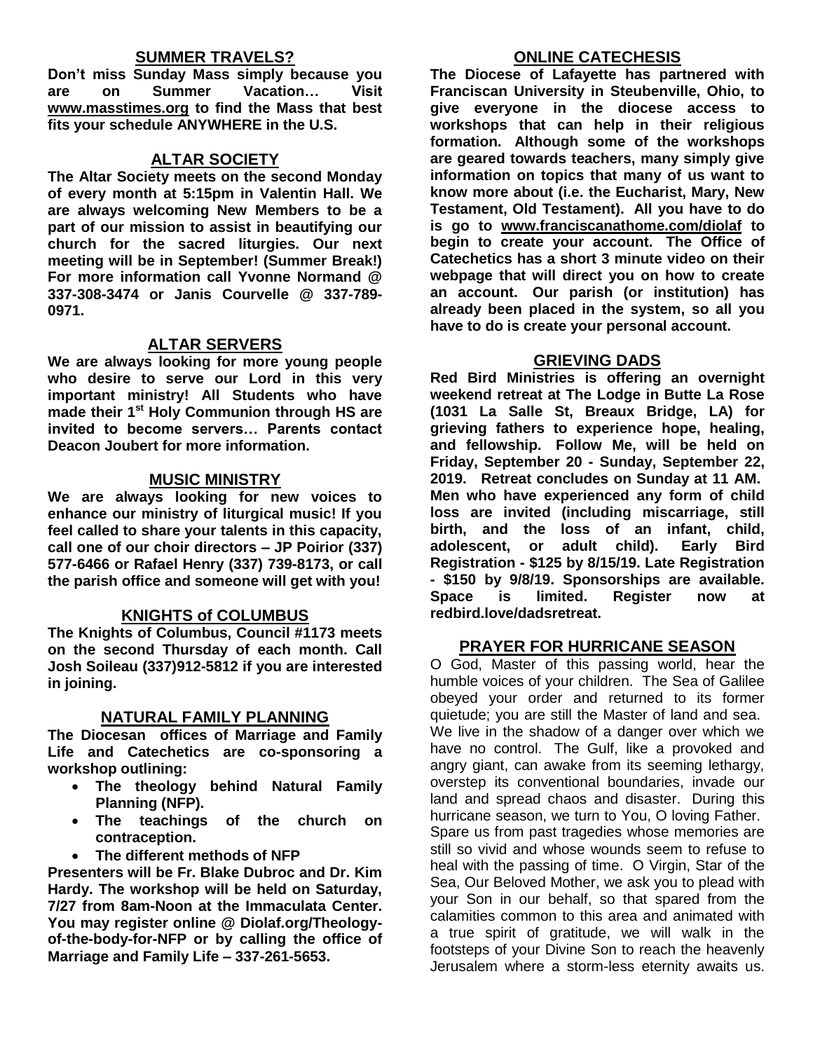### **SUMMER TRAVELS?**

**Don't miss Sunday Mass simply because you are on Summer Vacation… Visit [www.masstimes.org](http://www.masstimes.org/) to find the Mass that best fits your schedule ANYWHERE in the U.S.**

#### **ALTAR SOCIETY**

**The Altar Society meets on the second Monday of every month at 5:15pm in Valentin Hall. We are always welcoming New Members to be a part of our mission to assist in beautifying our church for the sacred liturgies. Our next meeting will be in September! (Summer Break!) For more information call Yvonne Normand @ 337-308-3474 or Janis Courvelle @ 337-789- 0971.** 

### **ALTAR SERVERS**

**We are always looking for more young people who desire to serve our Lord in this very important ministry! All Students who have made their 1st Holy Communion through HS are invited to become servers… Parents contact Deacon Joubert for more information.**

#### **MUSIC MINISTRY**

**We are always looking for new voices to enhance our ministry of liturgical music! If you feel called to share your talents in this capacity, call one of our choir directors – JP Poirior (337) 577-6466 or Rafael Henry (337) 739-8173, or call the parish office and someone will get with you!**

#### **KNIGHTS of COLUMBUS**

**The Knights of Columbus, Council #1173 meets on the second Thursday of each month. Call Josh Soileau (337)912-5812 if you are interested in joining.** 

#### **NATURAL FAMILY PLANNING**

**The Diocesan offices of Marriage and Family Life and Catechetics are co-sponsoring a workshop outlining:**

- **The theology behind Natural Family Planning (NFP).**
- **The teachings of the church on contraception.**
- **The different methods of NFP**

**Presenters will be Fr. Blake Dubroc and Dr. Kim Hardy. The workshop will be held on Saturday, 7/27 from 8am-Noon at the Immaculata Center. You may register online @ Diolaf.org/Theologyof-the-body-for-NFP or by calling the office of Marriage and Family Life – 337-261-5653.** 

#### **ONLINE CATECHESIS**

**The Diocese of Lafayette has partnered with Franciscan University in Steubenville, Ohio, to give everyone in the diocese access to workshops that can help in their religious formation. Although some of the workshops are geared towards teachers, many simply give information on topics that many of us want to know more about (i.e. the Eucharist, Mary, New Testament, Old Testament). All you have to do is go to [www.franciscanathome.com/diolaf](http://www.franciscanathome.com/diolaf) to begin to create your account. The Office of Catechetics has a short 3 minute video on their webpage that will direct you on how to create an account. Our parish (or institution) has already been placed in the system, so all you have to do is create your personal account.**

### **GRIEVING DADS**

**Red Bird Ministries is offering an overnight weekend retreat at The Lodge in Butte La Rose (1031 La Salle St, Breaux Bridge, LA) for grieving fathers to experience hope, healing, and fellowship. Follow Me, will be held on Friday, September 20 - Sunday, September 22, 2019. Retreat concludes on Sunday at 11 AM. Men who have experienced any form of child loss are invited (including miscarriage, still birth, and the loss of an infant, child, adolescent, or adult child). Early Bird Registration - \$125 by 8/15/19. Late Registration - \$150 by 9/8/19. Sponsorships are available. Space is limited. Register now at redbird.love/dadsretreat.**

#### **PRAYER FOR HURRICANE SEASON**

O God, Master of this passing world, hear the humble voices of your children. The Sea of Galilee obeyed your order and returned to its former quietude; you are still the Master of land and sea. We live in the shadow of a danger over which we have no control. The Gulf, like a provoked and angry giant, can awake from its seeming lethargy, overstep its conventional boundaries, invade our land and spread chaos and disaster. During this hurricane season, we turn to You, O loving Father. Spare us from past tragedies whose memories are still so vivid and whose wounds seem to refuse to heal with the passing of time. O Virgin, Star of the Sea, Our Beloved Mother, we ask you to plead with your Son in our behalf, so that spared from the calamities common to this area and animated with a true spirit of gratitude, we will walk in the footsteps of your Divine Son to reach the heavenly Jerusalem where a storm-less eternity awaits us.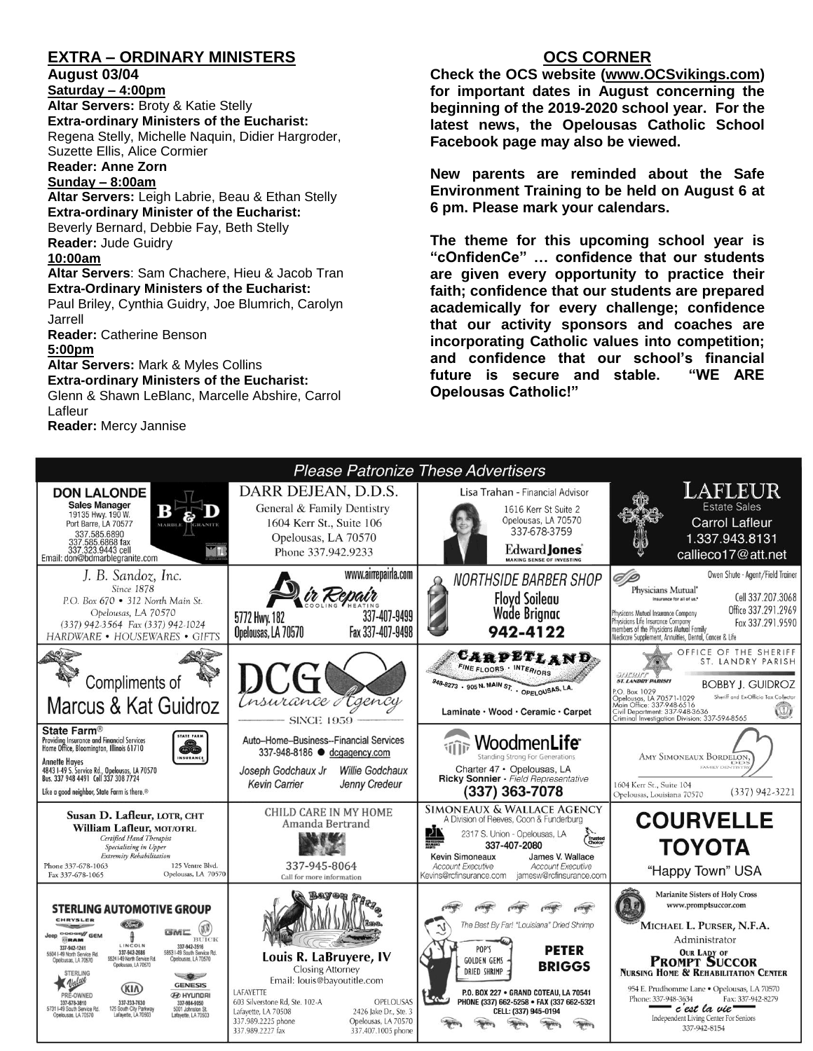## **EXTRA – ORDINARY MINISTERS**

#### **August 03/04**

**Saturday – 4:00pm Altar Servers:** Broty & Katie Stelly **Extra-ordinary Ministers of the Eucharist:**  Regena Stelly, Michelle Naquin, Didier Hargroder, Suzette Ellis, Alice Cormier

**Reader: Anne Zorn**

#### **Sunday – 8:00am**

**Altar Servers:** Leigh Labrie, Beau & Ethan Stelly **Extra-ordinary Minister of the Eucharist:** Beverly Bernard, Debbie Fay, Beth Stelly **Reader:** Jude Guidry **10:00am**

#### **Altar Servers**: Sam Chachere, Hieu & Jacob Tran **Extra-Ordinary Ministers of the Eucharist:**

Paul Briley, Cynthia Guidry, Joe Blumrich, Carolyn Jarrell

**Reader:** Catherine Benson

#### **5:00pm**

**Altar Servers:** Mark & Myles Collins **Extra-ordinary Ministers of the Eucharist:** Glenn & Shawn LeBlanc, Marcelle Abshire, Carrol Lafleur

**Reader:** Mercy Jannise

## **OCS CORNER**

**Check the OCS website [\(www.OCSvikings.com\)](http://www.ocsvikings.com/) for important dates in August concerning the beginning of the 2019-2020 school year. For the latest news, the Opelousas Catholic School Facebook page may also be viewed.** 

**New parents are reminded about the Safe Environment Training to be held on August 6 at 6 pm. Please mark your calendars.** 

**The theme for this upcoming school year is "cOnfidenCe" … confidence that our students are given every opportunity to practice their faith; confidence that our students are prepared academically for every challenge; confidence that our activity sponsors and coaches are incorporating Catholic values into competition; and confidence that our school's financial future is secure and stable. "WE ARE Opelousas Catholic!"**